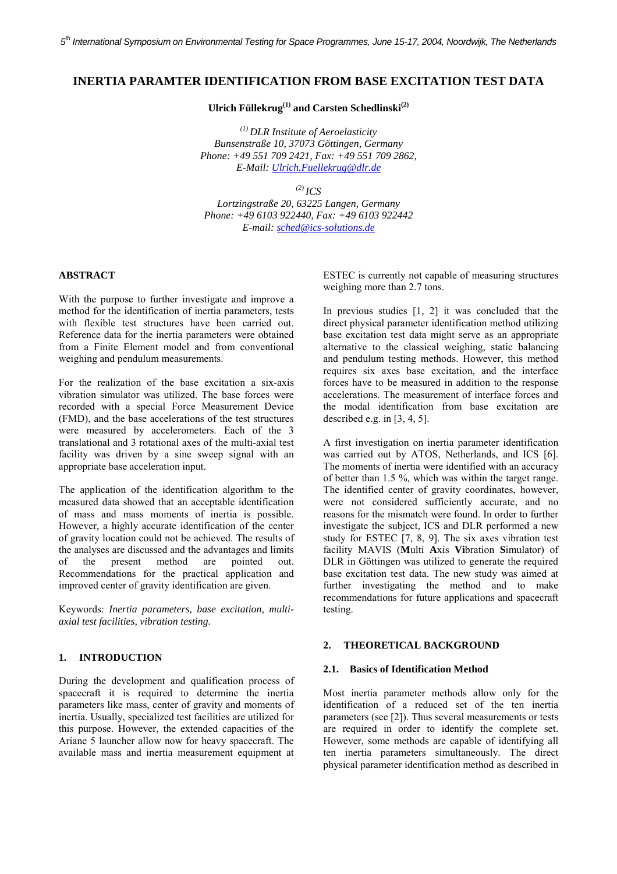# **INERTIA PARAMTER IDENTIFICATION FROM BASE EXCITATION TEST DATA**

Ulrich Füllekrug<sup>(1)</sup> and Carsten Schedlinski<sup>(2)</sup>

*(1) DLR Institute of Aeroelasticity Bunsenstraße 10, 37073 Göttingen, Germany Phone: +49 551 709 2421, Fax: +49 551 709 2862, E-Mail: Ulrich.Fuellekrug@dlr.de*

 $^{(2)}$  *ICS* 

*Lortzingstraße 20, 63225 Langen, Germany Phone: +49 6103 922440, Fax: +49 6103 922442 E-mail: sched@ics-solutions.de*

# **ABSTRACT**

With the purpose to further investigate and improve a method for the identification of inertia parameters, tests with flexible test structures have been carried out. Reference data for the inertia parameters were obtained from a Finite Element model and from conventional weighing and pendulum measurements.

For the realization of the base excitation a six-axis vibration simulator was utilized. The base forces were recorded with a special Force Measurement Device (FMD), and the base accelerations of the test structures were measured by accelerometers. Each of the 3 translational and 3 rotational axes of the multi-axial test facility was driven by a sine sweep signal with an appropriate base acceleration input.

The application of the identification algorithm to the measured data showed that an acceptable identification of mass and mass moments of inertia is possible. However, a highly accurate identification of the center of gravity location could not be achieved. The results of the analyses are discussed and the advantages and limits of the present method are pointed out. Recommendations for the practical application and improved center of gravity identification are given.

Keywords: *Inertia parameters, base excitation, multiaxial test facilities, vibration testing.*

# **1. INTRODUCTION**

During the development and qualification process of spacecraft it is required to determine the inertia parameters like mass, center of gravity and moments of inertia. Usually, specialized test facilities are utilized for this purpose. However, the extended capacities of the Ariane 5 launcher allow now for heavy spacecraft. The available mass and inertia measurement equipment at ESTEC is currently not capable of measuring structures weighing more than 2.7 tons.

In previous studies [1, 2] it was concluded that the direct physical parameter identification method utilizing base excitation test data might serve as an appropriate alternative to the classical weighing, static balancing and pendulum testing methods. However, this method requires six axes base excitation, and the interface forces have to be measured in addition to the response accelerations. The measurement of interface forces and the modal identification from base excitation are described e.g. in [3, 4, 5].

A first investigation on inertia parameter identification was carried out by ATOS, Netherlands, and ICS [6]. The moments of inertia were identified with an accuracy of better than 1.5 %, which was within the target range. The identified center of gravity coordinates, however, were not considered sufficiently accurate, and no reasons for the mismatch were found. In order to further investigate the subject, ICS and DLR performed a new study for ESTEC [7, 8, 9]. The six axes vibration test facility MAVIS (**M**ulti **A**xis **Vi**bration **S**imulator) of DLR in Göttingen was utilized to generate the required base excitation test data. The new study was aimed at further investigating the method and to make recommendations for future applications and spacecraft testing.

### **2. THEORETICAL BACKGROUND**

#### **2.1. Basics of Identification Method**

Most inertia parameter methods allow only for the identification of a reduced set of the ten inertia parameters (see [2]). Thus several measurements or tests are required in order to identify the complete set. However, some methods are capable of identifying all ten inertia parameters simultaneously. The direct physical parameter identification method as described in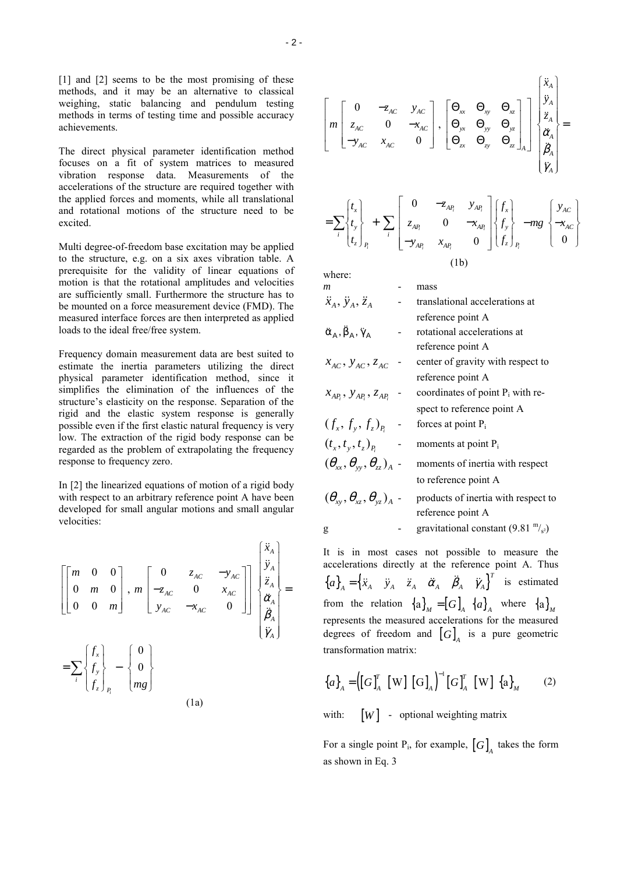[1] and [2] seems to be the most promising of these methods, and it may be an alternative to classical weighing, static balancing and pendulum testing methods in terms of testing time and possible accuracy achievements.

The direct physical parameter identification method focuses on a fit of system matrices to measured vibration response data. Measurements of the accelerations of the structure are required together with the applied forces and moments, while all translational and rotational motions of the structure need to be excited.

Multi degree-of-freedom base excitation may be applied to the structure, e.g. on a six axes vibration table. A prerequisite for the validity of linear equations of motion is that the rotational amplitudes and velocities are sufficiently small. Furthermore the structure has to be mounted on a force measurement device (FMD). The measured interface forces are then interpreted as applied loads to the ideal free/free system.

Frequency domain measurement data are best suited to estimate the inertia parameters utilizing the direct physical parameter identification method, since it simplifies the elimination of the influences of the structure's elasticity on the response. Separation of the rigid and the elastic system response is generally possible even if the first elastic natural frequency is very low. The extraction of the rigid body response can be regarded as the problem of extrapolating the frequency response to frequency zero.

In [2] the linearized equations of motion of a rigid body with respect to an arbitrary reference point A have been developed for small angular motions and small angular velocities:

$$
\begin{bmatrix}\n m & 0 & 0 \\
 0 & m & 0 \\
 0 & 0 & m\n\end{bmatrix}, m\n\begin{bmatrix}\n 0 & z_{AC} & -y_{AC} \\
 -z_{AC} & 0 & x_{AC} \\
 y_{AC} & -x_{AC} & 0\n\end{bmatrix}\n\begin{bmatrix}\n \ddot{x}_A \\
 \ddot{y}_A \\
 \ddot{z}_A \\
 \ddot{\ddot{y}}_A \\
 \ddot{y}_A\n\end{bmatrix} = \sum_{i} \begin{bmatrix}\nf_x \\
 f_y \\
 f_z\n\end{bmatrix}_{P_i} - \begin{bmatrix}\n 0 \\
 0 \\
 mg\n\end{bmatrix}
$$
\n(1a)

$$
\begin{bmatrix}\n0 & -z_{AC} & y_{AC} \\
z_{AC} & 0 & -x_{AC} \\
-y_{AC} & x_{AC} & 0\n\end{bmatrix}, \begin{bmatrix}\n\Theta_{xx} & \Theta_{xy} & \Theta_{xz} \\
\Theta_{yx} & \Theta_{yy} & \Theta_{yz} \\
\Theta_{zx} & \Theta_{zy} & \Theta_{zz}\n\end{bmatrix}_{A}\n\begin{bmatrix}\n\ddot{x}_A \\
\ddot{y}_A \\
\ddot{a}_A \\
\ddot{b}_A \\
\ddot{y}_A\n\end{bmatrix} =
$$

$$
=\sum_{i}\begin{bmatrix}t_{x}\\t_{y}\\t_{z}\end{bmatrix}_{P_{i}}+\sum_{i}\begin{bmatrix}0&-z_{AP_{i}}&y_{AP_{i}}\\z_{AP_{i}}&0&-x_{AP_{i}}\\-y_{AP_{i}}&x_{AP_{i}}&0\end{bmatrix}\begin{bmatrix}f_{x}\\f_{y}\\f_{z}\end{bmatrix}_{P_{i}}-mg\begin{bmatrix}y_{AC}\\-x_{AC}\\0\end{bmatrix}
$$
(1b)

| WHELE.                                             |                                                             |
|----------------------------------------------------|-------------------------------------------------------------|
| m                                                  | mass                                                        |
| $\ddot{x}_A$ , $\ddot{y}_A$ , $\ddot{z}_A$         | translational accelerations at                              |
|                                                    | reference point A                                           |
| $\ddot{\alpha}_A, \ddot{\beta}_A, \ddot{\gamma}_A$ | rotational accelerations at                                 |
|                                                    | reference point A                                           |
| $x_{AC}$ , $y_{AC}$ , $z_{AC}$                     | center of gravity with respect to                           |
|                                                    | reference point A                                           |
| $x_{AP_i}$ , $y_{AP_i}$ , $z_{AP_i}$               | coordinates of point $P_i$ with re-                         |
|                                                    | spect to reference point A                                  |
| $(f_x, f_y, f_z)_R$                                | forces at point $P_i$                                       |
| $(t_{x}, t_{y}, t_{z})_{R}$                        | moments at point P <sub>i</sub>                             |
| $(\theta_{xx}, \theta_{yy}, \theta_{zz})_A$ -      | moments of inertia with respect                             |
|                                                    | to reference point A                                        |
| $(\theta_{xy}, \theta_{yz}, \theta_{yz})_A$ -      | products of inertia with respect to<br>reference point A    |
| g                                                  | gravitational constant (9.81 $\mathrm{m/s}_{\mathrm{s}2}$ ) |

It is in most cases not possible to measure the accelerations directly at the reference point A. Thus  ${a}_{A} = \begin{cases} \ddot{x}_{A} & \ddot{y}_{A} & \ddot{z}_{A} & \ddot{\alpha}_{A} & \ddot{\beta}_{A} & \ddot{y}_{A} \end{cases}$  is estimated from the relation  $\{a\}_M = [G]_A \{a\}_A$  where  $\{a\}_M$ represents the measured accelerations for the measured degrees of freedom and  $[G]_4$  is a pure geometric transformation matrix:

$$
\left\{a\right\}_A = \left(\left[G\right]_A^T \left[W\right] \left[G\right]_A\right)^{-1} \left[G\right]_A^T \left[W\right] \left\{a\right\}_M \tag{2}
$$

with:  $[W]$  - optional weighting matrix

For a single point  $P_i$ , for example,  $[G]_4$  takes the form as shown in Eq. 3

whore: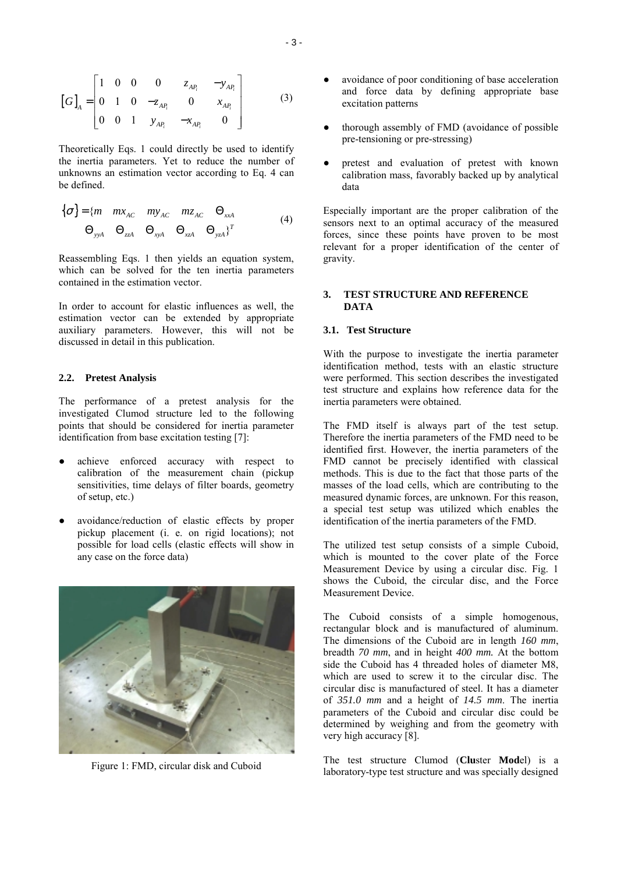$$
\begin{bmatrix} G \end{bmatrix}_{A} = \begin{bmatrix} 1 & 0 & 0 & 0 & z_{AP_i} & -y_{AP_i} \\ 0 & 1 & 0 & -z_{AP_i} & 0 & x_{AP_i} \\ 0 & 0 & 1 & y_{AP_i} & -x_{AP_i} & 0 \end{bmatrix}
$$
 (3)

Theoretically Eqs. 1 could directly be used to identify the inertia parameters. Yet to reduce the number of unknowns an estimation vector according to Eq. 4 can be defined.

$$
\{\sigma\} = \{m \quad mx_{AC} \quad my_{AC} \quad mz_{AC} \quad \Theta_{xxA}
$$
  
\n
$$
\Theta_{yyA} \quad \Theta_{zzA} \quad \Theta_{xyA} \quad \Theta_{xzA} \quad \Theta_{yzA}\}^T
$$
 (4)

Reassembling Eqs. 1 then yields an equation system, which can be solved for the ten inertia parameters contained in the estimation vector.

In order to account for elastic influences as well, the estimation vector can be extended by appropriate auxiliary parameters. However, this will not be discussed in detail in this publication.

#### **2.2. Pretest Analysis**

The performance of a pretest analysis for the investigated Clumod structure led to the following points that should be considered for inertia parameter identification from base excitation testing [7]:

- achieve enforced accuracy with respect to calibration of the measurement chain (pickup sensitivities, time delays of filter boards, geometry of setup, etc.)
- avoidance/reduction of elastic effects by proper pickup placement (i. e. on rigid locations); not possible for load cells (elastic effects will show in any case on the force data)



Figure 1: FMD, circular disk and Cuboid

- avoidance of poor conditioning of base acceleration and force data by defining appropriate base excitation patterns
- thorough assembly of FMD (avoidance of possible pre-tensioning or pre-stressing)
- pretest and evaluation of pretest with known calibration mass, favorably backed up by analytical data

Especially important are the proper calibration of the sensors next to an optimal accuracy of the measured forces, since these points have proven to be most relevant for a proper identification of the center of gravity.

### **3. TEST STRUCTURE AND REFERENCE DATA**

## **3.1. Test Structure**

With the purpose to investigate the inertia parameter identification method, tests with an elastic structure were performed. This section describes the investigated test structure and explains how reference data for the inertia parameters were obtained.

The FMD itself is always part of the test setup. Therefore the inertia parameters of the FMD need to be identified first. However, the inertia parameters of the FMD cannot be precisely identified with classical methods. This is due to the fact that those parts of the masses of the load cells, which are contributing to the measured dynamic forces, are unknown. For this reason, a special test setup was utilized which enables the identification of the inertia parameters of the FMD.

The utilized test setup consists of a simple Cuboid, which is mounted to the cover plate of the Force Measurement Device by using a circular disc. Fig. 1 shows the Cuboid, the circular disc, and the Force Measurement Device.

The Cuboid consists of a simple homogenous, rectangular block and is manufactured of aluminum. The dimensions of the Cuboid are in length *160 mm*, breadth *70 mm*, and in height *400 mm.* At the bottom side the Cuboid has 4 threaded holes of diameter M8, which are used to screw it to the circular disc. The circular disc is manufactured of steel. It has a diameter of *351.0 mm* and a height of *14.5 mm*. The inertia parameters of the Cuboid and circular disc could be determined by weighing and from the geometry with very high accuracy [8].

The test structure Clumod (**Clu**ster **Mod**el) is a laboratory-type test structure and was specially designed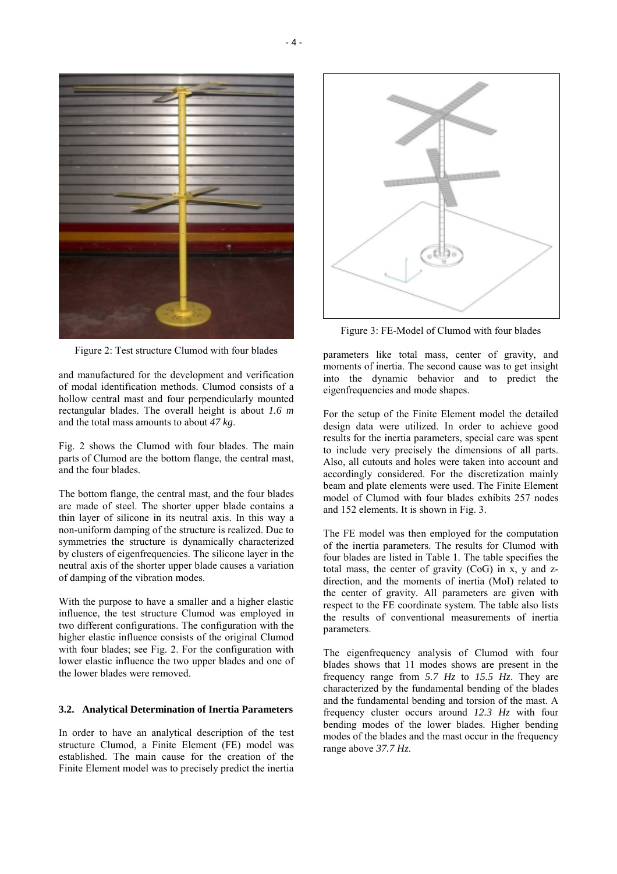

Figure 2: Test structure Clumod with four blades

and manufactured for the development and verification of modal identification methods. Clumod consists of a hollow central mast and four perpendicularly mounted rectangular blades. The overall height is about *1.6 m* and the total mass amounts to about *47 kg*.

Fig. 2 shows the Clumod with four blades. The main parts of Clumod are the bottom flange, the central mast, and the four blades.

The bottom flange, the central mast, and the four blades are made of steel. The shorter upper blade contains a thin layer of silicone in its neutral axis. In this way a non-uniform damping of the structure is realized. Due to symmetries the structure is dynamically characterized by clusters of eigenfrequencies. The silicone layer in the neutral axis of the shorter upper blade causes a variation of damping of the vibration modes.

With the purpose to have a smaller and a higher elastic influence, the test structure Clumod was employed in two different configurations. The configuration with the higher elastic influence consists of the original Clumod with four blades; see Fig. 2. For the configuration with lower elastic influence the two upper blades and one of the lower blades were removed.

# **3.2. Analytical Determination of Inertia Parameters**

In order to have an analytical description of the test structure Clumod, a Finite Element (FE) model was established. The main cause for the creation of the Finite Element model was to precisely predict the inertia



Figure 3: FE-Model of Clumod with four blades

parameters like total mass, center of gravity, and moments of inertia. The second cause was to get insight into the dynamic behavior and to predict the eigenfrequencies and mode shapes.

For the setup of the Finite Element model the detailed design data were utilized. In order to achieve good results for the inertia parameters, special care was spent to include very precisely the dimensions of all parts. Also, all cutouts and holes were taken into account and accordingly considered. For the discretization mainly beam and plate elements were used. The Finite Element model of Clumod with four blades exhibits 257 nodes and 152 elements. It is shown in Fig. 3.

The FE model was then employed for the computation of the inertia parameters. The results for Clumod with four blades are listed in Table 1. The table specifies the total mass, the center of gravity (CoG) in x, y and zdirection, and the moments of inertia (MoI) related to the center of gravity. All parameters are given with respect to the FE coordinate system. The table also lists the results of conventional measurements of inertia parameters.

The eigenfrequency analysis of Clumod with four blades shows that 11 modes shows are present in the frequency range from *5.7 Hz* to *15.5 Hz*. They are characterized by the fundamental bending of the blades and the fundamental bending and torsion of the mast. A frequency cluster occurs around *12.3 Hz* with four bending modes of the lower blades. Higher bending modes of the blades and the mast occur in the frequency range above *37.7 Hz*.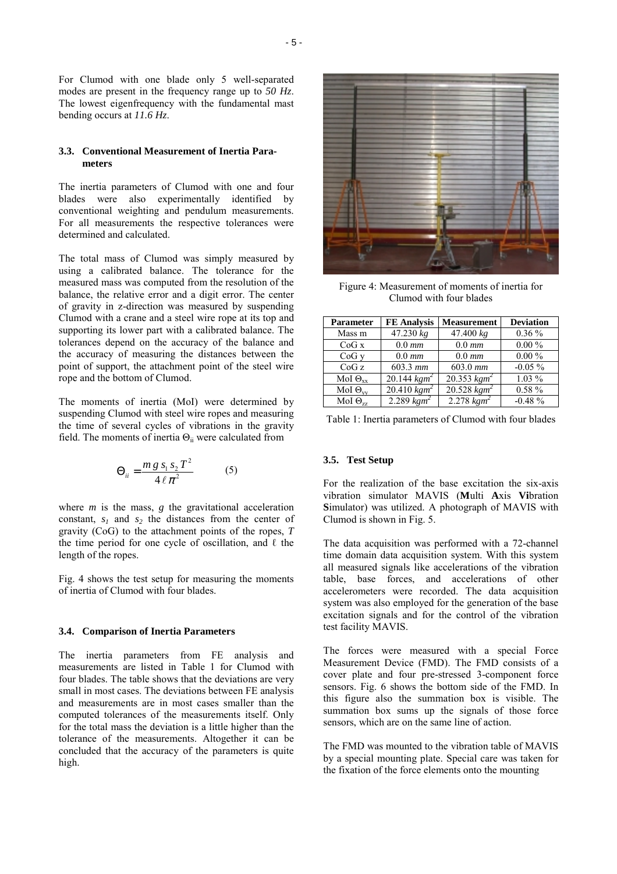For Clumod with one blade only 5 well-separated modes are present in the frequency range up to *50 Hz*. The lowest eigenfrequency with the fundamental mast bending occurs at *11.6 Hz*.

### **3.3. Conventional Measurement of Inertia Parameters**

The inertia parameters of Clumod with one and four blades were also experimentally identified by conventional weighting and pendulum measurements. For all measurements the respective tolerances were determined and calculated.

The total mass of Clumod was simply measured by using a calibrated balance. The tolerance for the measured mass was computed from the resolution of the balance, the relative error and a digit error. The center of gravity in z-direction was measured by suspending Clumod with a crane and a steel wire rope at its top and supporting its lower part with a calibrated balance. The tolerances depend on the accuracy of the balance and the accuracy of measuring the distances between the point of support, the attachment point of the steel wire rope and the bottom of Clumod.

The moments of inertia (MoI) were determined by suspending Clumod with steel wire ropes and measuring the time of several cycles of vibrations in the gravity field. The moments of inertia  $\Theta_{ii}$  were calculated from

$$
\Theta_{ii} = \frac{m g s_1 s_2 T^2}{4 \ell \pi^2}
$$
 (5)

where  $m$  is the mass,  $g$  the gravitational acceleration constant,  $s_1$  and  $s_2$  the distances from the center of gravity (CoG) to the attachment points of the ropes, *T* the time period for one cycle of oscillation, and  $\ell$  the length of the ropes.

Fig. 4 shows the test setup for measuring the moments of inertia of Clumod with four blades.

#### **3.4. Comparison of Inertia Parameters**

The inertia parameters from FE analysis and measurements are listed in Table 1 for Clumod with four blades. The table shows that the deviations are very small in most cases. The deviations between FE analysis and measurements are in most cases smaller than the computed tolerances of the measurements itself. Only for the total mass the deviation is a little higher than the tolerance of the measurements. Altogether it can be concluded that the accuracy of the parameters is quite high.



Figure 4: Measurement of moments of inertia for Clumod with four blades

| <b>Parameter</b>  | <b>FE</b> Analysis | <b>Measurement</b>        | <b>Deviation</b> |
|-------------------|--------------------|---------------------------|------------------|
| Mass m            | 47.230 kg          | 47.400 kg                 | $0.36\%$         |
| CoGx              | $0.0$ mm           | $0.0$ mm                  | $0.00\%$         |
| CoG <sub>V</sub>  | $0.0$ mm           | $0.0$ mm                  | $0.00\%$         |
| CoGz              | 603.3 mm           | $603.0 \; mm$             | $-0.05 \%$       |
| MoI $\Theta_{xx}$ | 20.144 $kgm^2$     | 20.353 $kgm^2$            | $1.03\%$         |
| MoI $\Theta_{vv}$ | 20.410 $kgm^2$     | $20.528$ kgm <sup>2</sup> | $0.58 \%$        |
| MoI $\Theta_{77}$ | 2.289 $kgm^2$      | $2.278$ $kgm^2$           | $-0.48 \%$       |

Table 1: Inertia parameters of Clumod with four blades

### **3.5. Test Setup**

For the realization of the base excitation the six-axis vibration simulator MAVIS (**M**ulti **A**xis **Vi**bration **S**imulator) was utilized. A photograph of MAVIS with Clumod is shown in Fig. 5.

The data acquisition was performed with a 72-channel time domain data acquisition system. With this system all measured signals like accelerations of the vibration table, base forces, and accelerations of other accelerometers were recorded. The data acquisition system was also employed for the generation of the base excitation signals and for the control of the vibration test facility MAVIS.

The forces were measured with a special Force Measurement Device (FMD). The FMD consists of a cover plate and four pre-stressed 3-component force sensors. Fig. 6 shows the bottom side of the FMD. In this figure also the summation box is visible. The summation box sums up the signals of those force sensors, which are on the same line of action.

The FMD was mounted to the vibration table of MAVIS by a special mounting plate. Special care was taken for the fixation of the force elements onto the mounting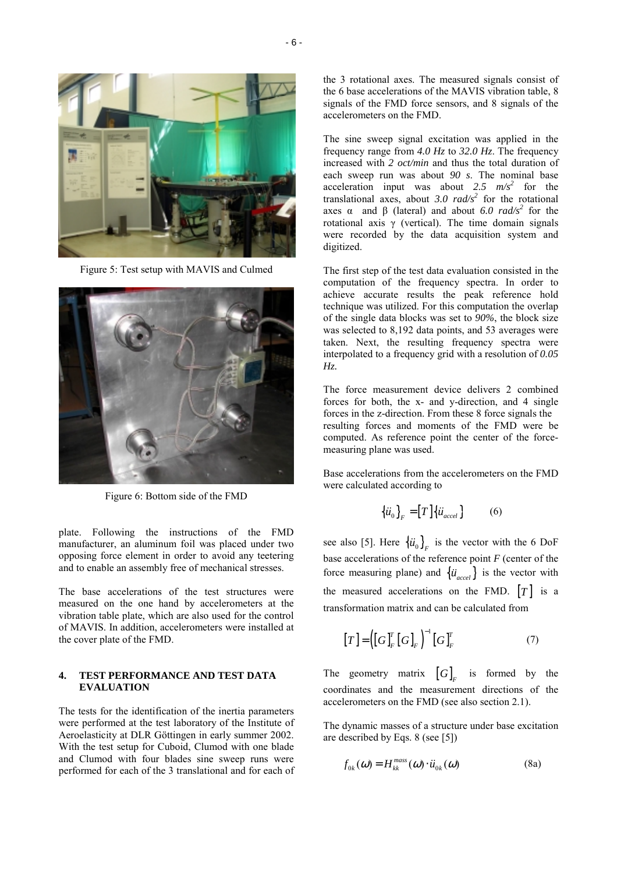

Figure 5: Test setup with MAVIS and Culmed



Figure 6: Bottom side of the FMD

plate. Following the instructions of the FMD manufacturer, an aluminum foil was placed under two opposing force element in order to avoid any teetering and to enable an assembly free of mechanical stresses.

The base accelerations of the test structures were measured on the one hand by accelerometers at the vibration table plate, which are also used for the control of MAVIS. In addition, accelerometers were installed at the cover plate of the FMD.

## **4. TEST PERFORMANCE AND TEST DATA EVALUATION**

The tests for the identification of the inertia parameters were performed at the test laboratory of the Institute of Aeroelasticity at DLR Göttingen in early summer 2002. With the test setup for Cuboid, Clumod with one blade and Clumod with four blades sine sweep runs were performed for each of the 3 translational and for each of

the 3 rotational axes. The measured signals consist of the 6 base accelerations of the MAVIS vibration table, 8 signals of the FMD force sensors, and 8 signals of the accelerometers on the FMD.

The sine sweep signal excitation was applied in the frequency range from *4.0 Hz* to *32.0 Hz*. The frequency increased with *2 oct/min* and thus the total duration of each sweep run was about *90 s*. The nominal base acceleration input was about 2.5  $m/s^2$  for the translational axes, about  $3.0$  rad/s<sup>2</sup> for the rotational axes α and β (lateral) and about 6.0  $rad/s<sup>2</sup>$  for the rotational axis γ (vertical). The time domain signals were recorded by the data acquisition system and digitized.

The first step of the test data evaluation consisted in the computation of the frequency spectra. In order to achieve accurate results the peak reference hold technique was utilized. For this computation the overlap of the single data blocks was set to *90%*, the block size was selected to 8,192 data points, and 53 averages were taken. Next, the resulting frequency spectra were interpolated to a frequency grid with a resolution of *0.05 Hz.*

The force measurement device delivers 2 combined forces for both, the x- and y-direction, and 4 single forces in the z-direction. From these 8 force signals the resulting forces and moments of the FMD were be computed. As reference point the center of the forcemeasuring plane was used.

Base accelerations from the accelerometers on the FMD were calculated according to

$$
\left\{ \ddot{u}_{0} \right\}_{F} = \left[ T \right] \left\{ \ddot{u}_{accel} \right\} \tag{6}
$$

see also [5]. Here  $\{\ddot{u}_0\}_F$  is the vector with the 6 DoF base accelerations of the reference point *F* (center of the force measuring plane) and  $\{\ddot{u}_{accel}\}$  is the vector with the measured accelerations on the FMD.  $[T]$  is a transformation matrix and can be calculated from

$$
\left[T\right] = \left(\left[G\right]_F^T \left[G\right]_F\right)^{-1} \left[G\right]_F^T \tag{7}
$$

The geometry matrix  $[G]_F$  is formed by the coordinates and the measurement directions of the accelerometers on the FMD (see also section 2.1).

The dynamic masses of a structure under base excitation are described by Eqs. 8 (see [5])

$$
f_{0k}(\omega) = H_{kk}^{mass}(\omega) \cdot \ddot{u}_{0k}(\omega)
$$
 (8a)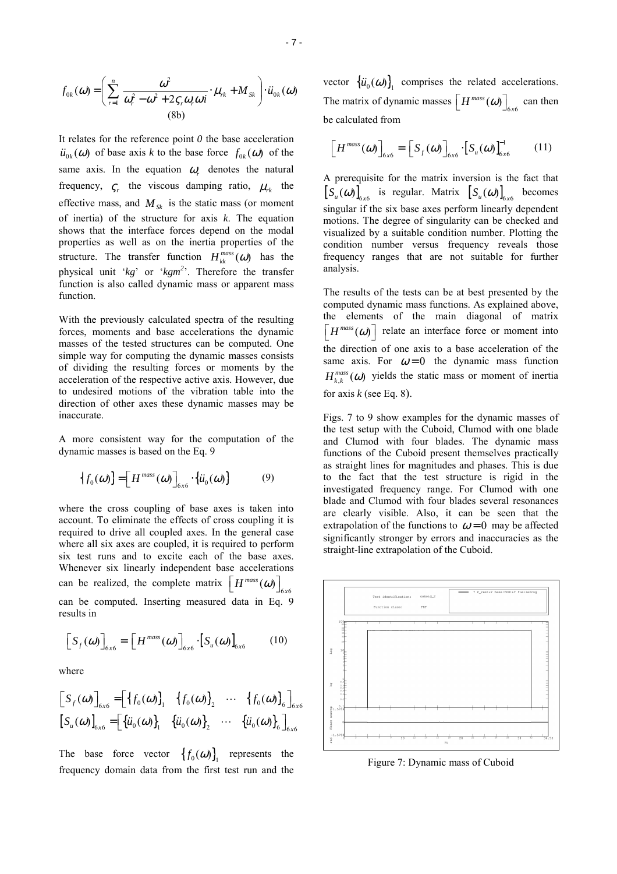$$
f_{0k}(\omega) = \left(\sum_{r=1}^{n} \frac{\omega^2}{\omega_r^2 - \omega^2 + 2\varsigma_r \omega_r \omega i} \cdot \mu_{rk} + M_{Sk}\right) \cdot \ddot{u}_{0k}(\omega)
$$
\n(8b)

It relates for the reference point *0* the base acceleration  $\ddot{u}_{0k}(\omega)$  of base axis *k* to the base force  $f_{0k}(\omega)$  of the same axis. In the equation  $\omega_r$  denotes the natural frequency,  $\zeta_r$  the viscous damping ratio,  $\mu_{rk}$  the effective mass, and  $M_{Sk}$  is the static mass (or moment of inertia) of the structure for axis *k*. The equation shows that the interface forces depend on the modal properties as well as on the inertia properties of the structure. The transfer function  $H_{kk}^{mass}(\omega)$  has the physical unit '*kg*' or '*kgm<sup>2</sup>* '. Therefore the transfer function is also called dynamic mass or apparent mass function.

With the previously calculated spectra of the resulting forces, moments and base accelerations the dynamic masses of the tested structures can be computed. One simple way for computing the dynamic masses consists of dividing the resulting forces or moments by the acceleration of the respective active axis. However, due to undesired motions of the vibration table into the direction of other axes these dynamic masses may be inaccurate.

A more consistent way for the computation of the dynamic masses is based on the Eq. 9

$$
\left\{f_0(\omega)\right\} = \left[H^{mass}(\omega)\right]_{6x6} \cdot \left\{\ddot{u}_0(\omega)\right\} \tag{9}
$$

where the cross coupling of base axes is taken into account. To eliminate the effects of cross coupling it is required to drive all coupled axes. In the general case where all six axes are coupled, it is required to perform six test runs and to excite each of the base axes. Whenever six linearly independent base accelerations can be realized, the complete matrix  $\left[H^{mass}(\omega)\right]_{6\times 6}$ can be computed. Inserting measured data in Eq. 9 results in

$$
\[S_f(\omega)\]_{6x6} = \left[H^{mass}(\omega)\right]_{6x6} \cdot \left[S_u(\omega)\right]_{6x6} \tag{10}
$$

where

$$
\begin{bmatrix} S_f(\omega) \end{bmatrix}_{6x6} = \begin{bmatrix} \{f_0(\omega)\}_1 & \{f_0(\omega)\}_2 & \cdots & \{f_0(\omega)\}_6 \end{bmatrix}_{6x6}
$$
  

$$
\begin{bmatrix} S_u(\omega) \end{bmatrix}_{6x6} = \begin{bmatrix} \{\ddot{u}_0(\omega)\}_1 & \{\ddot{u}_0(\omega)\}_2 & \cdots & \{\ddot{u}_0(\omega)\}_6 \end{bmatrix}_{6x6}
$$

The base force vector  ${f_0(\omega)}$  represents the frequency domain data from the first test run and the vector  $\{\ddot{u}_0(\omega)\}\$ , comprises the related accelerations. The matrix of dynamic masses  $\left[H^{mass}(\omega)\right]_{6\times 6}$  can then be calculated from

$$
\left[H^{mass}(\omega)\right]_{6x6} = \left[S_f(\omega)\right]_{6x6} \cdot \left[S_u(\omega)\right]_{6x6}^{-1}
$$
 (11)

A prerequisite for the matrix inversion is the fact that  $[S_u(\omega)]_{6x6}$  is regular. Matrix  $[S_u(\omega)]_{6x6}$  becomes singular if the six base axes perform linearly dependent motions. The degree of singularity can be checked and visualized by a suitable condition number. Plotting the condition number versus frequency reveals those frequency ranges that are not suitable for further analysis.

The results of the tests can be at best presented by the computed dynamic mass functions. As explained above, the elements of the main diagonal of matrix  $\left| H^{mass}(\omega) \right|$  relate an interface force or moment into the direction of one axis to a base acceleration of the same axis. For  $\omega = 0$  the dynamic mass function  $H_{\iota\iota}^{mass}(\omega)$  yields the static mass or moment of inertia for axis  $k$  (see Eq. 8).

Figs. 7 to 9 show examples for the dynamic masses of the test setup with the Cuboid, Clumod with one blade and Clumod with four blades. The dynamic mass functions of the Cuboid present themselves practically as straight lines for magnitudes and phases. This is due to the fact that the test structure is rigid in the investigated frequency range. For Clumod with one blade and Clumod with four blades several resonances are clearly visible. Also, it can be seen that the extrapolation of the functions to  $\omega = 0$  may be affected significantly stronger by errors and inaccuracies as the straight-line extrapolation of the Cuboid.



Figure 7: Dynamic mass of Cuboid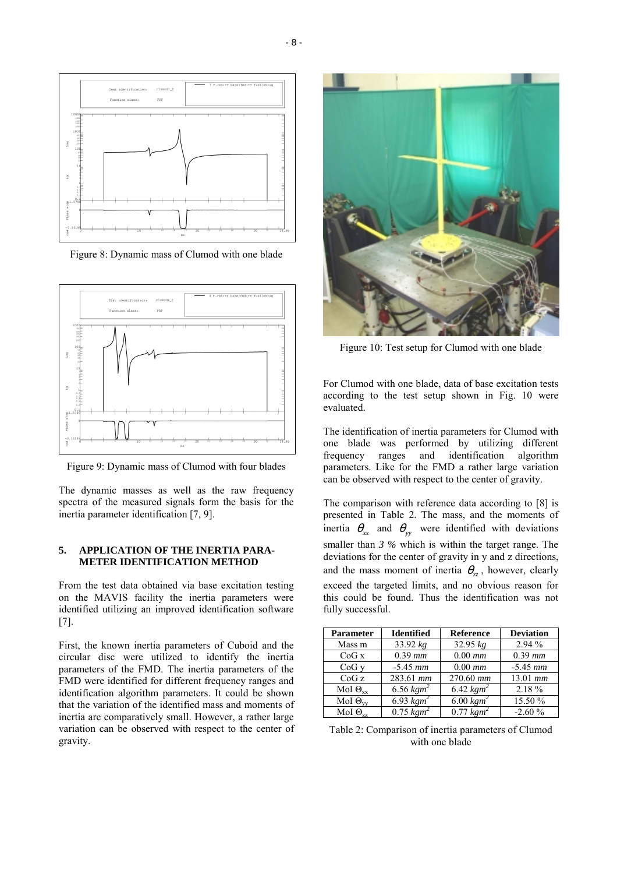

Figure 8: Dynamic mass of Clumod with one blade



Figure 9: Dynamic mass of Clumod with four blades

The dynamic masses as well as the raw frequency spectra of the measured signals form the basis for the inertia parameter identification [7, 9].

# **5. APPLICATION OF THE INERTIA PARA-METER IDENTIFICATION METHOD**

From the test data obtained via base excitation testing on the MAVIS facility the inertia parameters were identified utilizing an improved identification software [7].

First, the known inertia parameters of Cuboid and the circular disc were utilized to identify the inertia parameters of the FMD. The inertia parameters of the FMD were identified for different frequency ranges and identification algorithm parameters. It could be shown that the variation of the identified mass and moments of inertia are comparatively small. However, a rather large variation can be observed with respect to the center of gravity.



Figure 10: Test setup for Clumod with one blade

For Clumod with one blade, data of base excitation tests according to the test setup shown in Fig. 10 were evaluated.

The identification of inertia parameters for Clumod with one blade was performed by utilizing different frequency ranges and identification algorithm parameters. Like for the FMD a rather large variation can be observed with respect to the center of gravity.

The comparison with reference data according to [8] is presented in Table 2. The mass, and the moments of inertia  $\theta_{xx}$  and  $\theta_{yy}$  were identified with deviations smaller than *3 %* which is within the target range. The deviations for the center of gravity in y and z directions, and the mass moment of inertia  $\theta_{zz}$ , however, clearly exceed the targeted limits, and no obvious reason for this could be found. Thus the identification was not fully successful.

| <b>Parameter</b>  | <b>Identified</b>                  | <b>Reference</b>      | <b>Deviation</b> |
|-------------------|------------------------------------|-----------------------|------------------|
| Mass m            | 33.92 $kg$                         | $32.95 \text{ kg}$    | 2.94 %           |
| CoGx              | $0.39$ mm                          | $0.00$ mm             | $0.39$ mm        |
| CoGv              | $-5.45$ mm                         | $0.00$ mm             | $-5.45$ mm       |
| CoGz              | 283.61 mm                          | $270.60$ mm           | $13.01$ mm       |
| MoI $\Theta_{xx}$ | $\overline{6.56}$ kgm <sup>2</sup> | 6.42 $kgm^2$          | 2.18%            |
| MoI $\Theta_{vv}$ | 6.93 $kgm^2$                       | 6.00 $kgm^2$          | 15.50 %          |
| MoI $\Theta_{77}$ | $0.75 \; \text{kgm}^2$             | $0.77 \ \text{kgm}^2$ | $-2.60%$         |

Table 2: Comparison of inertia parameters of Clumod with one blade